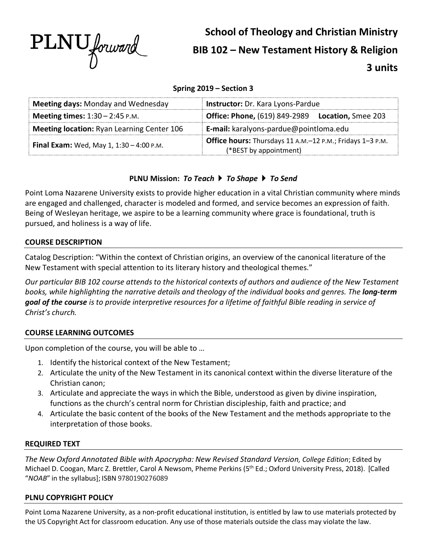

# **School of Theology and Christian Ministry BIB 102 – New Testament History & Religion 3 units**

## **Spring 2019 – Section 3**

| <b>Meeting days: Monday and Wednesday</b>         | <b>Instructor:</b> Dr. Kara Lyons-Pardue                                            |  |
|---------------------------------------------------|-------------------------------------------------------------------------------------|--|
| <b>Meeting times:</b> $1:30 - 2:45$ P.M.          | <b>Office: Phone, (619) 849-2989</b><br><b>Location, Smee 203</b>                   |  |
| <b>Meeting location: Ryan Learning Center 106</b> | E-mail: karalyons-pardue@pointloma.edu                                              |  |
| <b>Final Exam:</b> Wed, May 1, 1:30 - 4:00 P.M.   | Office hours: Thursdays 11 A.M.-12 P.M.; Fridays 1-3 P.M.<br>(*BEST by appointment) |  |

# **PLNU Mission:** *To Teach* } *To Shape* } *To Send*

Point Loma Nazarene University exists to provide higher education in a vital Christian community where minds are engaged and challenged, character is modeled and formed, and service becomes an expression of faith. Being of Wesleyan heritage, we aspire to be a learning community where grace is foundational, truth is pursued, and holiness is a way of life.

## **COURSE DESCRIPTION**

Catalog Description: "Within the context of Christian origins, an overview of the canonical literature of the New Testament with special attention to its literary history and theological themes."

*Our particular BIB 102 course attends to the historical contexts of authors and audience of the New Testament books, while highlighting the narrative details and theology of the individual books and genres. The long-term goal of the course is to provide interpretive resources for a lifetime of faithful Bible reading in service of Christ's church.*

#### **COURSE LEARNING OUTCOMES**

Upon completion of the course, you will be able to …

- 1. Identify the historical context of the New Testament;
- 2. Articulate the unity of the New Testament in its canonical context within the diverse literature of the Christian canon;
- 3. Articulate and appreciate the ways in which the Bible, understood as given by divine inspiration, functions as the church's central norm for Christian discipleship, faith and practice; and
- 4. Articulate the basic content of the books of the New Testament and the methods appropriate to the interpretation of those books.

## **REQUIRED TEXT**

*The New Oxford Annotated Bible with Apocrypha: New Revised Standard Version, College Edition*; Edited by Michael D. Coogan, Marc Z. Brettler, Carol A Newsom, Pheme Perkins (5th Ed.; Oxford University Press, 2018). [Called "*NOAB*" in the syllabus]; ISBN 9780190276089

#### **PLNU COPYRIGHT POLICY**

Point Loma Nazarene University, as a non-profit educational institution, is entitled by law to use materials protected by the US Copyright Act for classroom education. Any use of those materials outside the class may violate the law.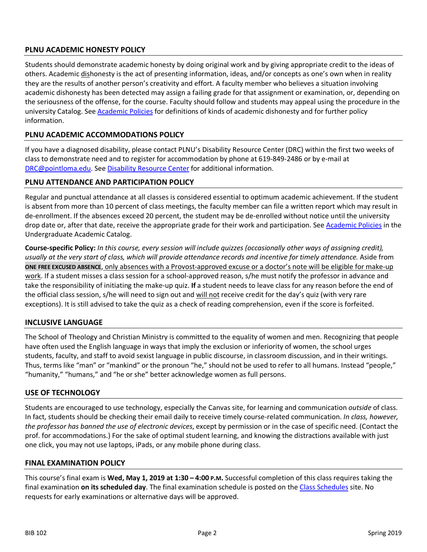# **PLNU ACADEMIC HONESTY POLICY**

Students should demonstrate academic honesty by doing original work and by giving appropriate credit to the ideas of others. Academic dishonesty is the act of presenting information, ideas, and/or concepts as one's own when in reality they are the results of another person's creativity and effort. A faculty member who believes a situation involving academic dishonesty has been detected may assign a failing grade for that assignment or examination, or, depending on the seriousness of the offense, for the course. Faculty should follow and students may appeal using the procedure in the university Catalog. See Academic Policies for definitions of kinds of academic dishonesty and for further policy information.

## **PLNU ACADEMIC ACCOMMODATIONS POLICY**

If you have a diagnosed disability, please contact PLNU's Disability Resource Center (DRC) within the first two weeks of class to demonstrate need and to register for accommodation by phone at 619-849-2486 or by e-mail at DRC@pointloma.edu. See Disability Resource Center for additional information.

#### **PLNU ATTENDANCE AND PARTICIPATION POLICY**

Regular and punctual attendance at all classes is considered essential to optimum academic achievement. If the student is absent from more than 10 percent of class meetings, the faculty member can file a written report which may result in de-enrollment. If the absences exceed 20 percent, the student may be de-enrolled without notice until the university drop date or, after that date, receive the appropriate grade for their work and participation. See Academic Policies in the Undergraduate Academic Catalog.

**Course-specific Policy:** *In this course, every session will include quizzes (occasionally other ways of assigning credit), usually at the very start of class, which will provide attendance records and incentive for timely attendance.* Aside from **ONE FREE EXCUSED ABSENCE**, only absences with a Provost-approved excuse or a doctor's note will be eligible for make-up work. If a student misses a class session for a school-approved reason, s/he must notify the professor in advance and take the responsibility of initiating the make-up quiz. **If** a student needs to leave class for any reason before the end of the official class session, s/he will need to sign out and will not receive credit for the day's quiz (with very rare exceptions). It is still advised to take the quiz as a check of reading comprehension, even if the score is forfeited.

## **INCLUSIVE LANGUAGE**

The School of Theology and Christian Ministry is committed to the equality of women and men. Recognizing that people have often used the English language in ways that imply the exclusion or inferiority of women, the school urges students, faculty, and staff to avoid sexist language in public discourse, in classroom discussion, and in their writings. Thus, terms like "man" or "mankind" or the pronoun "he," should not be used to refer to all humans. Instead "people," "humanity," "humans," and "he or she" better acknowledge women as full persons.

#### **USE OF TECHNOLOGY**

Students are encouraged to use technology, especially the Canvas site, for learning and communication *outside* of class. In fact, students should be checking their email daily to receive timely course-related communication. *In class, however, the professor has banned the use of electronic devices*, except by permission or in the case of specific need. (Contact the prof. for accommodations.) For the sake of optimal student learning, and knowing the distractions available with just one click, you may not use laptops, iPads, or any mobile phone during class.

#### **FINAL EXAMINATION POLICY**

This course's final exam is **Wed, May 1, 2019 at 1:30 – 4:00 P.M.** Successful completion of this class requires taking the final examination **on its scheduled day**. The final examination schedule is posted on the Class Schedules site. No requests for early examinations or alternative days will be approved.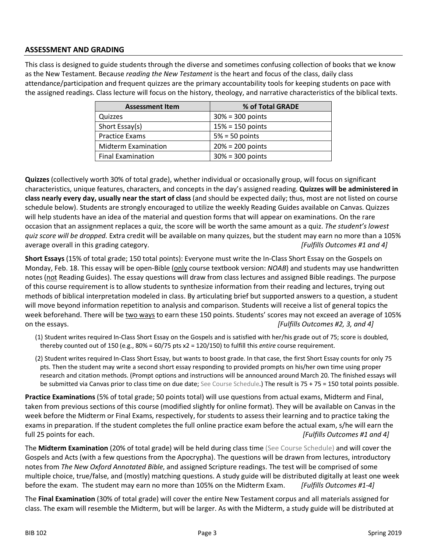## **ASSESSMENT AND GRADING**

This class is designed to guide students through the diverse and sometimes confusing collection of books that we know as the New Testament. Because *reading the New Testament* is the heart and focus of the class, daily class attendance/participation and frequent quizzes are the primary accountability tools for keeping students on pace with the assigned readings. Class lecture will focus on the history, theology, and narrative characteristics of the biblical texts.

| <b>Assessment Item</b>     | % of Total GRADE    |
|----------------------------|---------------------|
| Quizzes                    | $30\% = 300$ points |
| Short Essay(s)             | $15% = 150$ points  |
| <b>Practice Exams</b>      | $5% = 50$ points    |
| <b>Midterm Examination</b> | $20% = 200$ points  |
| <b>Final Examination</b>   | $30\% = 300$ points |

**Quizzes** (collectively worth 30% of total grade), whether individual or occasionally group, will focus on significant characteristics, unique features, characters, and concepts in the day's assigned reading. **Quizzes will be administered in class nearly every day, usually near the start of class** (and should be expected daily; thus, most are not listed on course schedule below). Students are strongly encouraged to utilize the weekly Reading Guides available on Canvas. Quizzes will help students have an idea of the material and question forms that will appear on examinations. On the rare occasion that an assignment replaces a quiz, the score will be worth the same amount as a quiz. *The student's lowest quiz score will be dropped.* Extra credit will be available on many quizzes, but the student may earn no more than a 105% average overall in this grading category. *[Fulfills Outcomes #1 and 4]*

**Short Essays** (15% of total grade; 150 total points): Everyone must write the In-Class Short Essay on the Gospels on Monday, Feb. 18. This essay will be open-Bible (only course textbook version: *NOAB*) and students may use handwritten notes (not Reading Guides). The essay questions will draw from class lectures and assigned Bible readings. The purpose of this course requirement is to allow students to synthesize information from their reading and lectures, trying out methods of biblical interpretation modeled in class. By articulating brief but supported answers to a question, a student will move beyond information repetition to analysis and comparison. Students will receive a list of general topics the week beforehand. There will be two ways to earn these 150 points. Students' scores may not exceed an average of 105% on the essays. *[Fulfills Outcomes #2, 3, and 4]*

- (1) Student writes required In-Class Short Essay on the Gospels and is satisfied with her/his grade out of 75; score is doubled, thereby counted out of 150 (e.g., 80% = 60/75 pts x2 = 120/150) to fulfill this *entire* course requirement.
- (2) Student writes required In-Class Short Essay, but wants to boost grade. In that case, the first Short Essay counts for only 75 pts. Then the student may write a second short essay responding to provided prompts on his/her own time using proper research and citation methods. (Prompt options and instructions will be announced around March 20. The finished essays will be submitted via Canvas prior to class time on due date; See Course Schedule.) The result is 75 + 75 = 150 total points possible.

**Practice Examinations** (5% of total grade; 50 points total) will use questions from actual exams, Midterm and Final, taken from previous sections of this course (modified slightly for online format). They will be available on Canvas in the week before the Midterm or Final Exams, respectively, for students to assess their learning and to practice taking the exams in preparation. If the student completes the full online practice exam before the actual exam, s/he will earn the full 25 points for each. *[Fulfills Outcomes #1 and 4]*

The **Midterm Examination** (20% of total grade) will be held during class time (See Course Schedule) and will cover the Gospels and Acts (with a few questions from the Apocrypha). The questions will be drawn from lectures, introductory notes from *The New Oxford Annotated Bible*, and assigned Scripture readings. The test will be comprised of some multiple choice, true/false, and (mostly) matching questions. A study guide will be distributed digitally at least one week before the exam. The student may earn no more than 105% on the Midterm Exam. *[Fulfills Outcomes #1-4]*

The **Final Examination** (30% of total grade) will cover the entire New Testament corpus and all materials assigned for class. The exam will resemble the Midterm, but will be larger. As with the Midterm, a study guide will be distributed at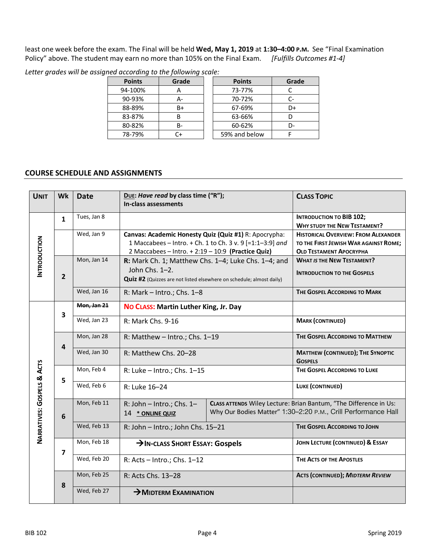least one week before the exam. The Final will be held **Wed, May 1, 2019** at **1:30–4:00 P.M.** See "Final Examination Policy" above. The student may earn no more than 105% on the Final Exam. *[Fulfills Outcomes #1-4]*

| <b>Points</b> | Grade | <b>Points</b> | Grade |  |
|---------------|-------|---------------|-------|--|
| 94-100%       |       | 73-77%        |       |  |
| 90-93%        | А-    | 70-72%        |       |  |
| 88-89%        | B+    | 67-69%        | D+    |  |
| 83-87%        |       | 63-66%        |       |  |
| 80-82%        | в-    | 60-62%        | D-    |  |
| 78-79%        | ົ+    | 59% and below |       |  |

*Letter grades will be assigned according to the following scale:* 

## **COURSE SCHEDULE AND ASSIGNMENTS**

| <b>UNIT</b>                | Wk                      | <b>Date</b>                                                                                                                                                  | DUE: Have read by class time ("R");<br>In-class assessments                                                                                                              |  | <b>CLASS TOPIC</b>                                                                                                                 |
|----------------------------|-------------------------|--------------------------------------------------------------------------------------------------------------------------------------------------------------|--------------------------------------------------------------------------------------------------------------------------------------------------------------------------|--|------------------------------------------------------------------------------------------------------------------------------------|
| <b>INTRODUCTION</b>        | $\mathbf{1}$            | Tues, Jan 8                                                                                                                                                  |                                                                                                                                                                          |  | <b>INTRODUCTION TO BIB 102;</b><br><b>WHY STUDY THE NEW TESTAMENT?</b>                                                             |
|                            |                         | Wed, Jan 9                                                                                                                                                   | Canvas: Academic Honesty Quiz (Quiz #1) R: Apocrypha:<br>1 Maccabees - Intro. + Ch. 1 to Ch. 3 v. 9 [=1:1-3:9] and<br>2 Maccabees - Intro. + 2:19 - 10:9 (Practice Quiz) |  | <b>HISTORICAL OVERVIEW: FROM ALEXANDER</b><br>TO THE FIRST JEWISH WAR AGAINST ROME;<br><b>OLD TESTAMENT APOCRYPHA</b>              |
|                            | $\overline{2}$          | Mon, Jan 14<br>R: Mark Ch. 1; Matthew Chs. 1-4; Luke Chs. 1-4; and<br>John Chs. 1-2.<br>Quiz #2 (Quizzes are not listed elsewhere on schedule; almost daily) |                                                                                                                                                                          |  | <b>WHAT IS THE NEW TESTAMENT?</b><br><b>INTRODUCTION TO THE GOSPELS</b>                                                            |
|                            |                         | Wed, Jan 16                                                                                                                                                  | R: Mark - Intro.; Chs. 1-8                                                                                                                                               |  | THE GOSPEL ACCORDING TO MARK                                                                                                       |
| NARRATIVES: GOSPELS & ACTS | 3                       | Mon, Jan 21                                                                                                                                                  | NO CLASS: Martin Luther King, Jr. Day                                                                                                                                    |  |                                                                                                                                    |
|                            |                         | Wed, Jan 23                                                                                                                                                  | R: Mark Chs. 9-16                                                                                                                                                        |  | <b>MARK (CONTINUED)</b>                                                                                                            |
|                            | Mon, Jan 28             |                                                                                                                                                              | R: Matthew - Intro.; Chs. 1-19                                                                                                                                           |  | THE GOSPEL ACCORDING TO MATTHEW                                                                                                    |
|                            | $\overline{\mathbf{4}}$ | Wed, Jan 30                                                                                                                                                  | R: Matthew Chs. 20-28                                                                                                                                                    |  | <b>MATTHEW (CONTINUED); THE SYNOPTIC</b><br><b>GOSPELS</b>                                                                         |
|                            | 5                       | Mon, Feb 4                                                                                                                                                   | R: Luke - Intro.; Chs. 1-15                                                                                                                                              |  | THE GOSPEL ACCORDING TO LUKE                                                                                                       |
|                            |                         | Wed, Feb 6                                                                                                                                                   | R: Luke 16-24                                                                                                                                                            |  | LUKE (CONTINUED)                                                                                                                   |
|                            | 6                       | Mon, Feb 11                                                                                                                                                  | R: John - Intro.; Chs. 1-<br>14 * ONLINE QUIZ                                                                                                                            |  | CLASS ATTENDS Wiley Lecture: Brian Bantum, "The Difference in Us:<br>Why Our Bodies Matter" 1:30-2:20 P.M., Crill Performance Hall |
|                            |                         | Wed, Feb 13                                                                                                                                                  | R: John - Intro.; John Chs. 15-21                                                                                                                                        |  | THE GOSPEL ACCORDING TO JOHN                                                                                                       |
|                            | $\overline{7}$          | Mon, Feb 18                                                                                                                                                  | >IN-CLASS SHORT ESSAY: Gospels                                                                                                                                           |  | JOHN LECTURE (CONTINUED) & ESSAY                                                                                                   |
|                            |                         | Wed, Feb 20                                                                                                                                                  | R: Acts - Intro.; Chs. 1-12                                                                                                                                              |  | THE ACTS OF THE APOSTLES                                                                                                           |
|                            | 8                       | Mon, Feb 25                                                                                                                                                  | R: Acts Chs. 13-28                                                                                                                                                       |  | <b>ACTS (CONTINUED); MIDTERM REVIEW</b>                                                                                            |
|                            |                         | Wed, Feb 27                                                                                                                                                  | $\rightarrow$ MIDTERM EXAMINATION                                                                                                                                        |  |                                                                                                                                    |